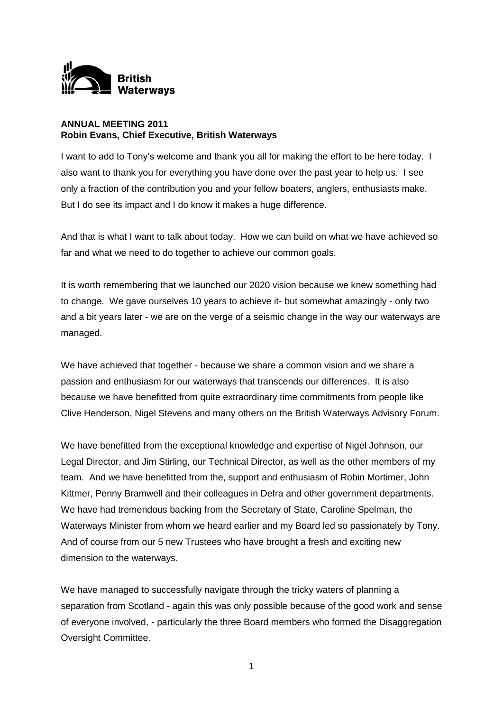

## **ANNUAL MEETING 2011 Robin Evans, Chief Executive, British Waterways**

I want to add to Tony's welcome and thank you all for making the effort to be here today. I also want to thank you for everything you have done over the past year to help us. I see only a fraction of the contribution you and your fellow boaters, anglers, enthusiasts make. But I do see its impact and I do know it makes a huge difference.

And that is what I want to talk about today. How we can build on what we have achieved so far and what we need to do together to achieve our common goals.

It is worth remembering that we launched our 2020 vision because we knew something had to change. We gave ourselves 10 years to achieve it- but somewhat amazingly - only two and a bit years later - we are on the verge of a seismic change in the way our waterways are managed.

We have achieved that together - because we share a common vision and we share a passion and enthusiasm for our waterways that transcends our differences. It is also because we have benefitted from quite extraordinary time commitments from people like Clive Henderson, Nigel Stevens and many others on the British Waterways Advisory Forum.

We have benefitted from the exceptional knowledge and expertise of Nigel Johnson, our Legal Director, and Jim Stirling, our Technical Director, as well as the other members of my team. And we have benefitted from the, support and enthusiasm of Robin Mortimer, John Kittmer, Penny Bramwell and their colleagues in Defra and other government departments. We have had tremendous backing from the Secretary of State, Caroline Spelman, the Waterways Minister from whom we heard earlier and my Board led so passionately by Tony. And of course from our 5 new Trustees who have brought a fresh and exciting new dimension to the waterways.

We have managed to successfully navigate through the tricky waters of planning a separation from Scotland - again this was only possible because of the good work and sense of everyone involved, - particularly the three Board members who formed the Disaggregation Oversight Committee.

1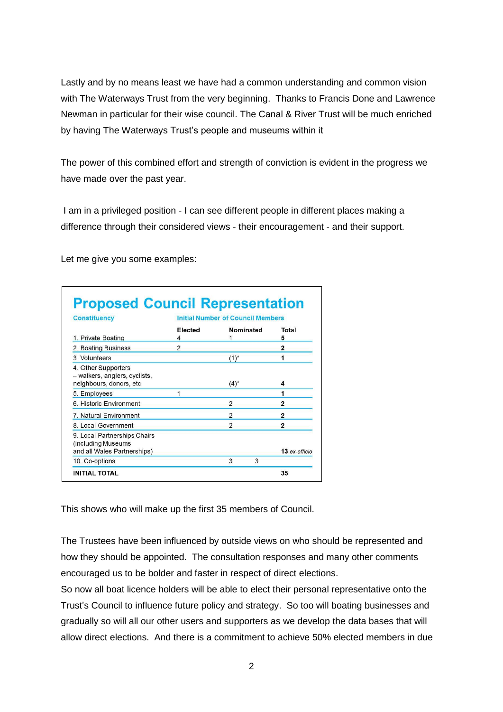Lastly and by no means least we have had a common understanding and common vision with The Waterways Trust from the very beginning. Thanks to Francis Done and Lawrence Newman in particular for their wise council. The Canal & River Trust will be much enriched by having The Waterways Trust's people and museums within it

The power of this combined effort and strength of conviction is evident in the progress we have made over the past year.

I am in a privileged position - I can see different people in different places making a difference through their considered views - their encouragement - and their support.

Let me give you some examples:

| <b>Constituency</b><br>1. Private Boating                                         | <b>Initial Number of Council Members</b> |                          |                |
|-----------------------------------------------------------------------------------|------------------------------------------|--------------------------|----------------|
|                                                                                   | <b>Flected</b>                           | Nominated                | Total<br>5     |
| 2. Boating Business                                                               | $\mathfrak{p}$                           |                          | $\overline{2}$ |
| 3. Volunteers                                                                     |                                          | $(1)^{*}$                |                |
| 4. Other Supporters<br>- walkers, anglers, cyclists,<br>neighbours, donors, etc   |                                          | $(4)^{*}$                | 4              |
| 5. Employees                                                                      |                                          |                          | 1              |
| 6. Historic Environment                                                           |                                          | $\overline{\phantom{0}}$ | $\overline{2}$ |
| 7. Natural Environment                                                            |                                          | 2                        | 2              |
| 8. Local Government                                                               |                                          | $\overline{\phantom{0}}$ | $\overline{2}$ |
| 9. Local Partnerships Chairs<br>(including Museums<br>and all Wales Partnerships) |                                          |                          | 13 ex-officio  |
| 10. Co-options                                                                    |                                          | 3<br>3                   |                |

This shows who will make up the first 35 members of Council.

The Trustees have been influenced by outside views on who should be represented and how they should be appointed. The consultation responses and many other comments encouraged us to be bolder and faster in respect of direct elections.

So now all boat licence holders will be able to elect their personal representative onto the Trust's Council to influence future policy and strategy. So too will boating businesses and gradually so will all our other users and supporters as we develop the data bases that will allow direct elections. And there is a commitment to achieve 50% elected members in due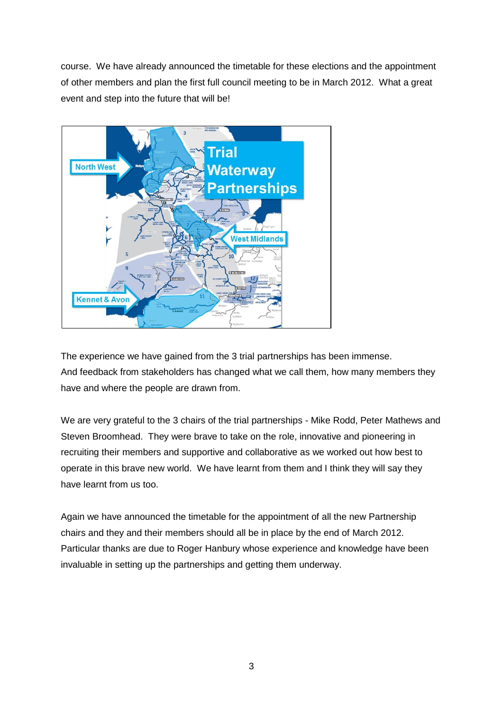course. We have already announced the timetable for these elections and the appointment of other members and plan the first full council meeting to be in March 2012. What a great event and step into the future that will be!



The experience we have gained from the 3 trial partnerships has been immense. And feedback from stakeholders has changed what we call them, how many members they have and where the people are drawn from.

We are very grateful to the 3 chairs of the trial partnerships - Mike Rodd, Peter Mathews and Steven Broomhead. They were brave to take on the role, innovative and pioneering in recruiting their members and supportive and collaborative as we worked out how best to operate in this brave new world. We have learnt from them and I think they will say they have learnt from us too.

Again we have announced the timetable for the appointment of all the new Partnership chairs and they and their members should all be in place by the end of March 2012. Particular thanks are due to Roger Hanbury whose experience and knowledge have been invaluable in setting up the partnerships and getting them underway.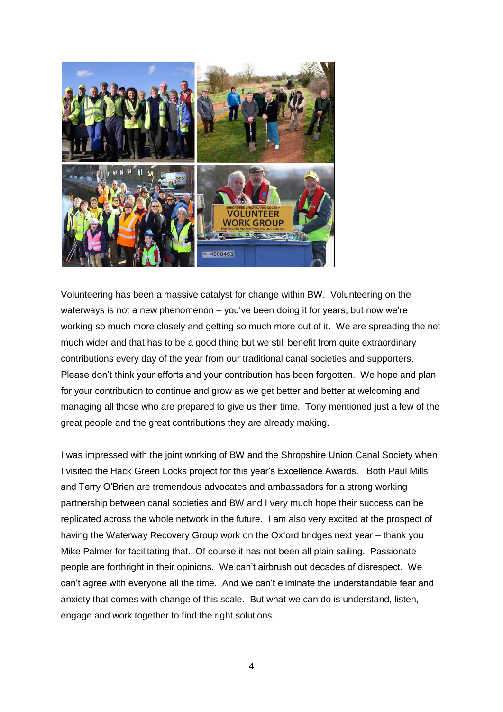

Volunteering has been a massive catalyst for change within BW. Volunteering on the waterways is not a new phenomenon – you've been doing it for years, but now we're working so much more closely and getting so much more out of it. We are spreading the net much wider and that has to be a good thing but we still benefit from quite extraordinary contributions every day of the year from our traditional canal societies and supporters. Please don't think your efforts and your contribution has been forgotten. We hope and plan for your contribution to continue and grow as we get better and better at welcoming and managing all those who are prepared to give us their time. Tony mentioned just a few of the great people and the great contributions they are already making.

I was impressed with the joint working of BW and the Shropshire Union Canal Society when I visited the Hack Green Locks project for this year's Excellence Awards. Both Paul Mills and Terry O'Brien are tremendous advocates and ambassadors for a strong working partnership between canal societies and BW and I very much hope their success can be replicated across the whole network in the future. I am also very excited at the prospect of having the Waterway Recovery Group work on the Oxford bridges next year – thank you Mike Palmer for facilitating that. Of course it has not been all plain sailing. Passionate people are forthright in their opinions. We can't airbrush out decades of disrespect. We can't agree with everyone all the time. And we can't eliminate the understandable fear and anxiety that comes with change of this scale. But what we can do is understand, listen, engage and work together to find the right solutions.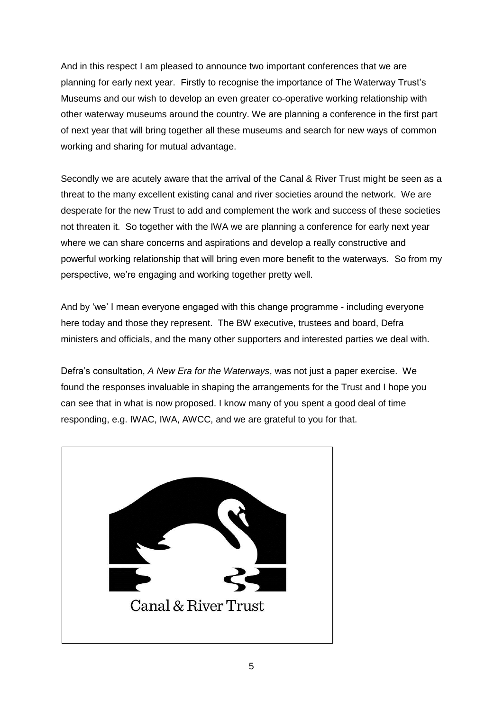And in this respect I am pleased to announce two important conferences that we are planning for early next year. Firstly to recognise the importance of The Waterway Trust's Museums and our wish to develop an even greater co-operative working relationship with other waterway museums around the country. We are planning a conference in the first part of next year that will bring together all these museums and search for new ways of common working and sharing for mutual advantage.

Secondly we are acutely aware that the arrival of the Canal & River Trust might be seen as a threat to the many excellent existing canal and river societies around the network. We are desperate for the new Trust to add and complement the work and success of these societies not threaten it. So together with the IWA we are planning a conference for early next year where we can share concerns and aspirations and develop a really constructive and powerful working relationship that will bring even more benefit to the waterways. So from my perspective, we're engaging and working together pretty well.

And by 'we' I mean everyone engaged with this change programme - including everyone here today and those they represent. The BW executive, trustees and board, Defra ministers and officials, and the many other supporters and interested parties we deal with.

Defra's consultation, *A New Era for the Waterways*, was not just a paper exercise. We found the responses invaluable in shaping the arrangements for the Trust and I hope you can see that in what is now proposed. I know many of you spent a good deal of time responding, e.g. IWAC, IWA, AWCC, and we are grateful to you for that.

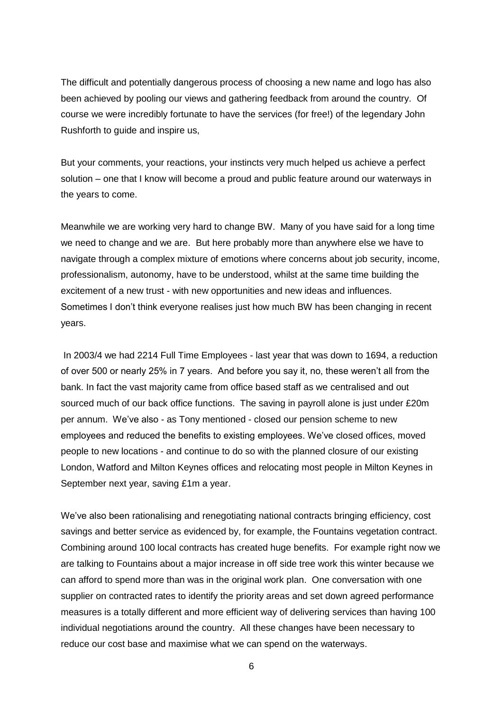The difficult and potentially dangerous process of choosing a new name and logo has also been achieved by pooling our views and gathering feedback from around the country. Of course we were incredibly fortunate to have the services (for free!) of the legendary John Rushforth to guide and inspire us,

But your comments, your reactions, your instincts very much helped us achieve a perfect solution – one that I know will become a proud and public feature around our waterways in the years to come.

Meanwhile we are working very hard to change BW. Many of you have said for a long time we need to change and we are. But here probably more than anywhere else we have to navigate through a complex mixture of emotions where concerns about job security, income, professionalism, autonomy, have to be understood, whilst at the same time building the excitement of a new trust - with new opportunities and new ideas and influences. Sometimes I don't think everyone realises just how much BW has been changing in recent years.

In 2003/4 we had 2214 Full Time Employees - last year that was down to 1694, a reduction of over 500 or nearly 25% in 7 years. And before you say it, no, these weren't all from the bank. In fact the vast majority came from office based staff as we centralised and out sourced much of our back office functions. The saving in payroll alone is just under £20m per annum.We've also - as Tony mentioned - closed our pension scheme to new employees and reduced the benefits to existing employees. We've closed offices, moved people to new locations - and continue to do so with the planned closure of our existing London, Watford and Milton Keynes offices and relocating most people in Milton Keynes in September next year, saving £1m a year.

We've also been rationalising and renegotiating national contracts bringing efficiency, cost savings and better service as evidenced by, for example, the Fountains vegetation contract. Combining around 100 local contracts has created huge benefits. For example right now we are talking to Fountains about a major increase in off side tree work this winter because we can afford to spend more than was in the original work plan. One conversation with one supplier on contracted rates to identify the priority areas and set down agreed performance measures is a totally different and more efficient way of delivering services than having 100 individual negotiations around the country. All these changes have been necessary to reduce our cost base and maximise what we can spend on the waterways.

6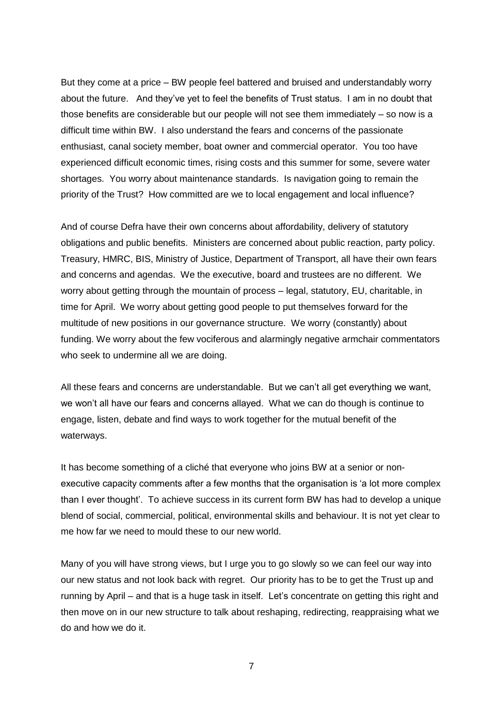But they come at a price – BW people feel battered and bruised and understandably worry about the future. And they've yet to feel the benefits of Trust status. I am in no doubt that those benefits are considerable but our people will not see them immediately – so now is a difficult time within BW. I also understand the fears and concerns of the passionate enthusiast, canal society member, boat owner and commercial operator. You too have experienced difficult economic times, rising costs and this summer for some, severe water shortages. You worry about maintenance standards. Is navigation going to remain the priority of the Trust? How committed are we to local engagement and local influence?

And of course Defra have their own concerns about affordability, delivery of statutory obligations and public benefits. Ministers are concerned about public reaction, party policy. Treasury, HMRC, BIS, Ministry of Justice, Department of Transport, all have their own fears and concerns and agendas. We the executive, board and trustees are no different. We worry about getting through the mountain of process – legal, statutory, EU, charitable, in time for April. We worry about getting good people to put themselves forward for the multitude of new positions in our governance structure. We worry (constantly) about funding. We worry about the few vociferous and alarmingly negative armchair commentators who seek to undermine all we are doing.

All these fears and concerns are understandable. But we can't all get everything we want, we won't all have our fears and concerns allayed. What we can do though is continue to engage, listen, debate and find ways to work together for the mutual benefit of the waterways.

It has become something of a cliché that everyone who joins BW at a senior or nonexecutive capacity comments after a few months that the organisation is 'a lot more complex than I ever thought'. To achieve success in its current form BW has had to develop a unique blend of social, commercial, political, environmental skills and behaviour. It is not yet clear to me how far we need to mould these to our new world.

Many of you will have strong views, but I urge you to go slowly so we can feel our way into our new status and not look back with regret. Our priority has to be to get the Trust up and running by April – and that is a huge task in itself. Let's concentrate on getting this right and then move on in our new structure to talk about reshaping, redirecting, reappraising what we do and how we do it.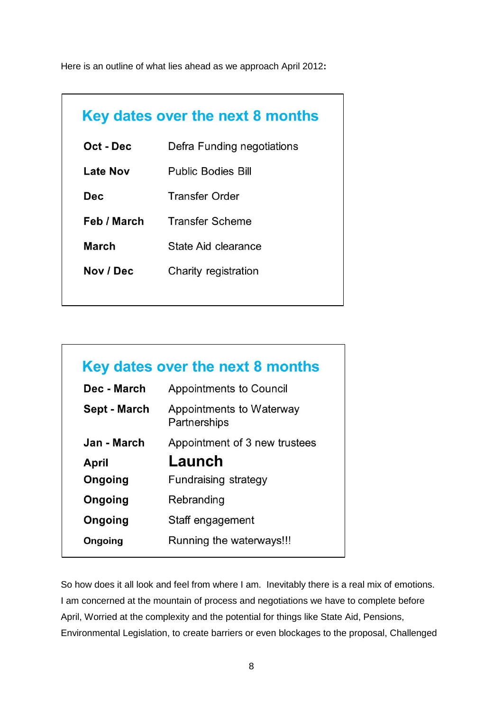Here is an outline of what lies ahead as we approach April 2012**:**

| Key dates over the next 8 months |                            |  |
|----------------------------------|----------------------------|--|
| Oct - Dec                        | Defra Funding negotiations |  |
| <b>Late Nov</b>                  | <b>Public Bodies Bill</b>  |  |
| Dec.                             | <b>Transfer Order</b>      |  |
| Feb / March                      | <b>Transfer Scheme</b>     |  |
| <b>March</b>                     | State Aid clearance        |  |
| Nov / Dec                        | Charity registration       |  |
|                                  |                            |  |

| Key dates over the next 8 months |                                          |  |
|----------------------------------|------------------------------------------|--|
| Dec - March                      | Appointments to Council                  |  |
| Sept - March                     | Appointments to Waterway<br>Partnerships |  |
| Jan - March                      | Appointment of 3 new trustees            |  |
| April                            | Launch                                   |  |
| Ongoing                          | Fundraising strategy                     |  |
| Ongoing                          | Rebranding                               |  |
| Ongoing                          | Staff engagement                         |  |
| Ongoing                          | Running the waterways!!!                 |  |

So how does it all look and feel from where I am. Inevitably there is a real mix of emotions. I am concerned at the mountain of process and negotiations we have to complete before April, Worried at the complexity and the potential for things like State Aid, Pensions, Environmental Legislation, to create barriers or even blockages to the proposal, Challenged